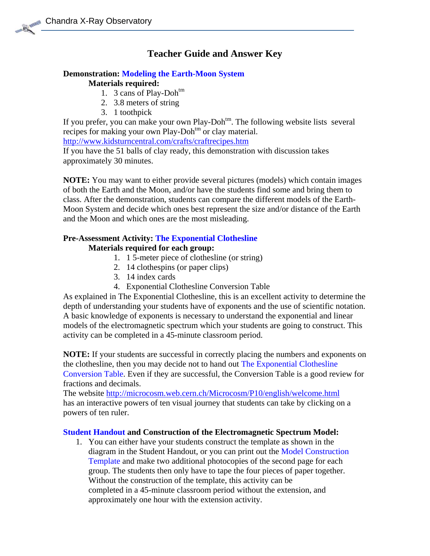## **Teacher Guide and Answer Key**

# **Demonstration: Modeling the Earth-Moon System**

## **Materials required:**

- 1. 3 cans of Play-Doh<sup>tm</sup>
- 2. 3.8 meters of string
- 3. 1 toothpick

If you prefer, you can make your own Play-Doh<sup>tm</sup>. The following website lists several recipes for making your own Play-Doh<sup>tm</sup> or clay material.

<http://www.kidsturncentral.com/crafts/craftrecipes.htm>

If you have the 51 balls of clay ready, this demonstration with discussion takes approximately 30 minutes.

**NOTE:** You may want to either provide several pictures (models) which contain images of both the Earth and the Moon, and/or have the students find some and bring them to class. After the demonstration, students can compare the different models of the Earth-Moon System and decide which ones best represent the size and/or distance of the Earth and the Moon and which ones are the most misleading.

### **Pre-Assessment Activity: The Exponential Clothesline**

#### **Materials required for each group:**

- 1. 1 5-meter piece of clothesline (or string)
- 2. 14 clothespins (or paper clips)
- 3. 14 index cards
- 4. Exponential Clothesline Conversion Table

As explained in The Exponential Clothesline, this is an excellent activity to determine the depth of understanding your students have of exponents and the use of scientific notation. A basic knowledge of exponents is necessary to understand the exponential and linear models of the electromagnetic spectrum which your students are going to construct. This activity can be completed in a 45-minute classroom period.

**NOTE:** If your students are successful in correctly placing the numbers and exponents on the clothesline, then you may decide not to hand out The Exponential Clothesline Conversion Table. Even if they are successful, the Conversion Table is a good review for fractions and decimals.

The website<http://microcosm.web.cern.ch/Microcosm/P10/english/welcome.html> has an interactive powers of ten visual journey that students can take by clicking on a powers of ten ruler.

### **Student Handout and Construction of the Electromagnetic Spectrum Model:**

1. You can either have your students construct the template as shown in the diagram in the Student Handout, or you can print out the Model Construction Template and make two additional photocopies of the second page for each group. The students then only have to tape the four pieces of paper together. Without the construction of the template, this activity can be completed in a 45-minute classroom period without the extension, and approximately one hour with the extension activity.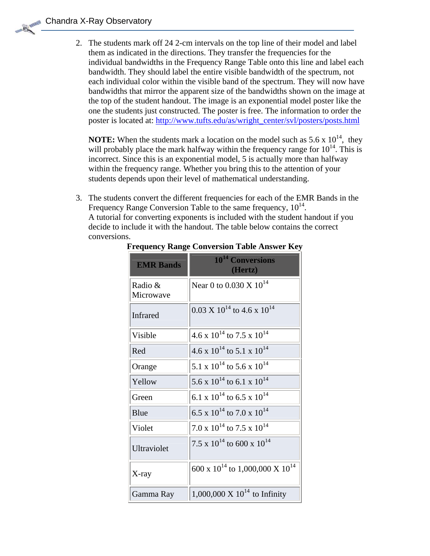Chandra X-Ray Observatory

2. The students mark off 24 2-cm intervals on the top line of their model and label them as indicated in the directions. They transfer the frequencies for the individual bandwidths in the Frequency Range Table onto this line and label each bandwidth. They should label the entire visible bandwidth of the spectrum, not each individual color within the visible band of the spectrum. They will now have bandwidths that mirror the apparent size of the bandwidths shown on the image at the top of the student handout. The image is an exponential model poster like the one the students just constructed. The poster is free. The information to order the poster is located at: [http://www.tufts.edu/as/wright\\_center/svl/posters/posts.html](http://www.tufts.edu/as/wright_center/svl/posters/posts.html)

**NOTE:** When the students mark a location on the model such as  $5.6 \times 10^{14}$ , they will probably place the mark halfway within the frequency range for  $10^{14}$ . This is incorrect. Since this is an exponential model, 5 is actually more than halfway within the frequency range. Whether you bring this to the attention of your students depends upon their level of mathematical understanding.

3. The students convert the different frequencies for each of the EMR Bands in the Frequency Range Conversion Table to the same frequency,  $10^{14}$ . A tutorial for converting exponents is included with the student handout if you decide to include it with the handout. The table below contains the correct conversions.

| <b>EMR Bands</b>     | 10 <sup>14</sup> Conversions<br>(Hertz)  |
|----------------------|------------------------------------------|
| Radio &<br>Microwave | Near 0 to 0.030 X $10^{14}$              |
| <b>Infrared</b>      | $0.03 \times 10^{14}$ to 4.6 x $10^{14}$ |
| Visible              | 4.6 x $10^{14}$ to 7.5 x $10^{14}$       |
| Red                  | 4.6 x $10^{14}$ to 5.1 x $10^{14}$       |
| Orange               | 5.1 x $10^{14}$ to 5.6 x $10^{14}$       |
| Yellow               | 5.6 x $10^{14}$ to 6.1 x $10^{14}$       |
| Green                | 6.1 x $10^{14}$ to 6.5 x $10^{14}$       |
| Blue                 | 6.5 x $10^{14}$ to 7.0 x $10^{14}$       |
| Violet               | 7.0 x $10^{14}$ to 7.5 x $10^{14}$       |
| Ultraviolet          | 7.5 x $10^{14}$ to 600 x $10^{14}$       |
| $X$ -ray             | 600 x $10^{14}$ to 1,000,000 X $10^{14}$ |
| Gamma Ray            | 1,000,000 X $10^{14}$ to Infinity        |

#### **Frequency Range Conversion Table Answer Key**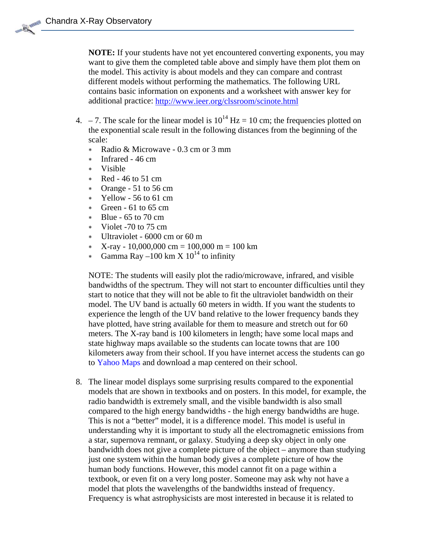**NOTE:** If your students have not yet encountered converting exponents, you may want to give them the completed table above and simply have them plot them on the model. This activity is about models and they can compare and contrast different models without performing the mathematics. The following URL contains basic information on exponents and a worksheet with answer key for additional practice:<http://www.ieer.org/clssroom/scinote.html>

- 4. 7. The scale for the linear model is  $10^{14}$  Hz = 10 cm; the frequencies plotted on the exponential scale result in the following distances from the beginning of the scale:
	- ∗ Radio & Microwave 0.3 cm or 3 mm
	- ∗ Infrared 46 cm
	- ∗ Visible
	- ∗ Red 46 to 51 cm
	- ∗ Orange 51 to 56 cm
	- ∗ Yellow 56 to 61 cm
	- ∗ Green 61 to 65 cm
	- ∗ Blue 65 to 70 cm
	- ∗ Violet -70 to 75 cm
	- ∗ Ultraviolet 6000 cm or 60 m
	- $\textbf{x}$  X-ray 10,000,000 cm = 100,000 m = 100 km
	- Gamma Ray –100 km X  $10^{14}$  to infinity

NOTE: The students will easily plot the radio/microwave, infrared, and visible bandwidths of the spectrum. They will not start to encounter difficulties until th ey start to notice that they will not be able to fit the ultraviolet bandwidth on their model. The UV band is actually 60 meters in width. If you want the students to experience the length of the UV band relative to the lower frequency bands they have plotted, have string available for them to measure and stretch out for 60 meters. The X-ray band is 100 kilometers in length; have some local maps and state highway maps available so the students can locate towns that are 100 kilometers away from their school. If you have internet access the students can go to Yahoo Maps and download a map centered on their school.

8. The linear model displays some surprising results compared to the exponential models that are shown in textbooks and on posters. In this model, for example, the understanding why it is important to study all the electromagnetic emissions from textbook, or even fit on a very long poster. Someone may ask why not have a Frequency is what astrophysicists are most interested in because it is related to radio bandwidth is extremely small, and the visible bandwidth is also small compared to the high energy bandwidths - the high energy bandwidths are huge. This is not a "better" model, it is a difference model. This model is useful in a star, supernova remnant, or galaxy. Studying a deep sky object in only one bandwidth does not give a complete picture of the object – anymore than studying just one system within the human body gives a complete picture of how the human body functions. However, this model cannot fit on a page within a model that plots the wavelengths of the bandwidths instead of frequency.